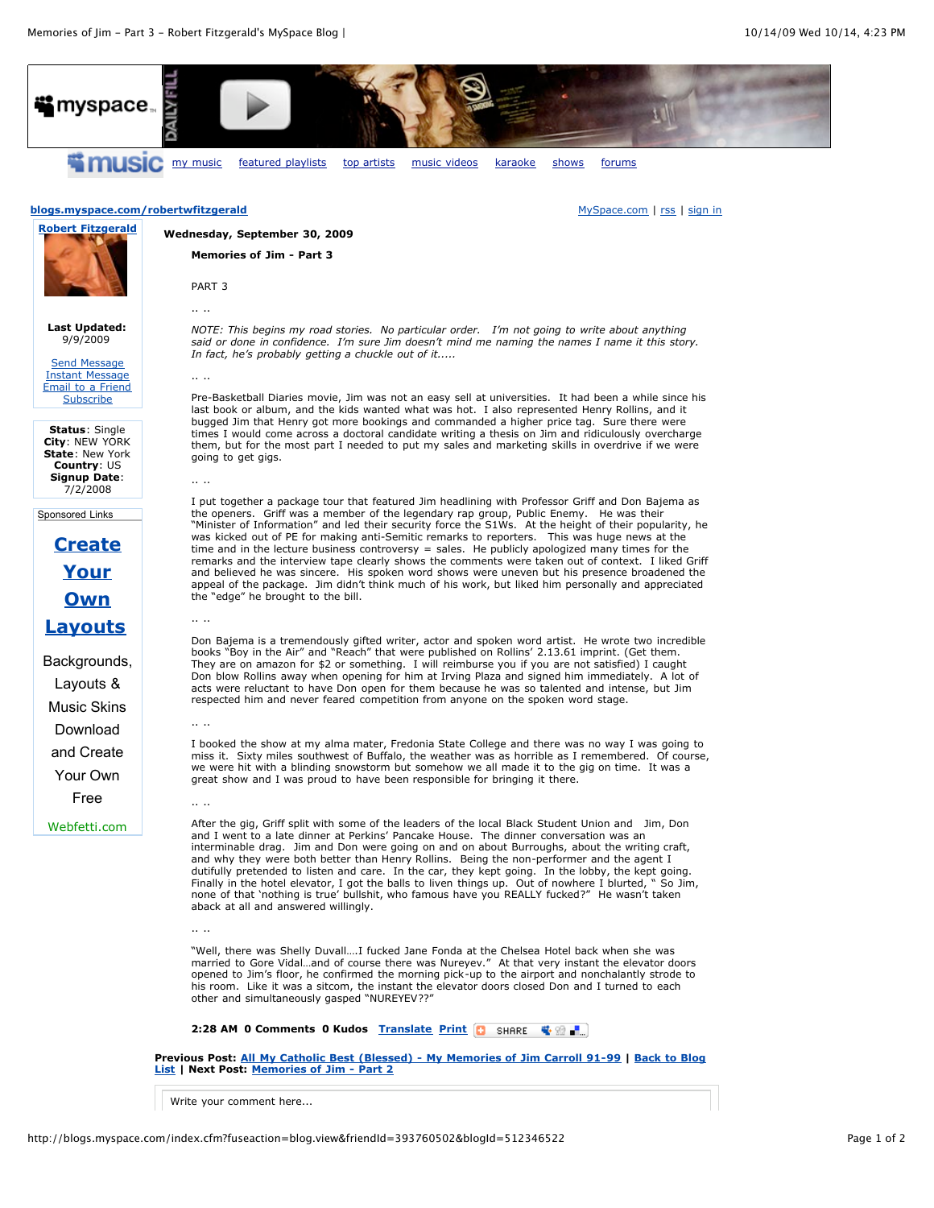

Write your comment here...